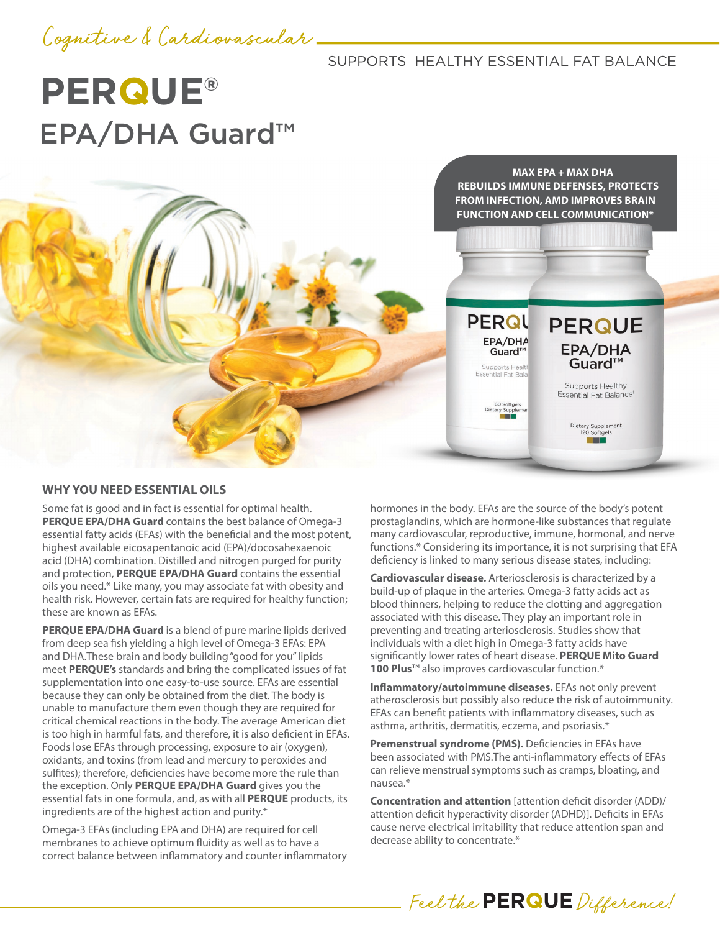## Cognitive & Cardiovascular

## SUPPORTS HEALTHY ESSENTIAL FAT BALANCE

**PERQU** 

EPA/DHA

Guard™ Supports Health Essential Fat Bala

50 Softgels<br>ary Suppler

# **PERQUE®** EPA/DHA Guard™

**MAX EPA + MAX DHA REBUILDS IMMUNE DEFENSES, PROTECTS FROM INFECTION, AMD IMPROVES BRAIN FUNCTION AND CELL COMMUNICATION\***

**PERQUE** 

EPA/DHA<br>Guard™

Supports Healthy Essential Fat Balance<sup>®</sup>

> Dietary Supplement<br>120 Softgels **The Colombia**

### **WHY YOU NEED ESSENTIAL OILS**

Some fat is good and in fact is essential for optimal health. **PERQUE EPA/DHA Guard** contains the best balance of Omega-3 essential fatty acids (EFAs) with the beneficial and the most potent, highest available eicosapentanoic acid (EPA)/docosahexaenoic acid (DHA) combination. Distilled and nitrogen purged for purity and protection, **PERQUE EPA/DHA Guard** contains the essential oils you need.\* Like many, you may associate fat with obesity and health risk. However, certain fats are required for healthy function; these are known as EFAs.

**PERQUE EPA/DHA Guard** is a blend of pure marine lipids derived from deep sea fish yielding a high level of Omega-3 EFAs: EPA and DHA.These brain and body building "good for you" lipids meet **PERQUE's** standards and bring the complicated issues of fat supplementation into one easy-to-use source. EFAs are essential because they can only be obtained from the diet. The body is unable to manufacture them even though they are required for critical chemical reactions in the body. The average American diet is too high in harmful fats, and therefore, it is also deficient in EFAs. Foods lose EFAs through processing, exposure to air (oxygen), oxidants, and toxins (from lead and mercury to peroxides and sulfites); therefore, deficiencies have become more the rule than the exception. Only **PERQUE EPA/DHA Guard** gives you the essential fats in one formula, and, as with all **PERQUE** products, its ingredients are of the highest action and purity.\*

Omega-3 EFAs (including EPA and DHA) are required for cell membranes to achieve optimum fluidity as well as to have a correct balance between inflammatory and counter inflammatory hormones in the body. EFAs are the source of the body's potent prostaglandins, which are hormone-like substances that regulate many cardiovascular, reproductive, immune, hormonal, and nerve functions.\* Considering its importance, it is not surprising that EFA deficiency is linked to many serious disease states, including:

**Cardiovascular disease.** Arteriosclerosis is characterized by a build-up of plaque in the arteries. Omega-3 fatty acids act as blood thinners, helping to reduce the clotting and aggregation associated with this disease. They play an important role in preventing and treating arteriosclerosis. Studies show that individuals with a diet high in Omega-3 fatty acids have significantly lower rates of heart disease. **PERQUE Mito Guard 100 Plus<sup>™</sup> also improves cardiovascular function.\*** 

**Inflammatory/autoimmune diseases.** EFAs not only prevent atherosclerosis but possibly also reduce the risk of autoimmunity. EFAs can benefit patients with inflammatory diseases, such as asthma, arthritis, dermatitis, eczema, and psoriasis.\*

**Premenstrual syndrome (PMS).** Deficiencies in EFAs have been associated with PMS.The anti-inflammatory effects of EFAs can relieve menstrual symptoms such as cramps, bloating, and nausea.\*

**Concentration and attention** [attention deficit disorder (ADD)/ attention deficit hyperactivity disorder (ADHD)]. Deficits in EFAs cause nerve electrical irritability that reduce attention span and decrease ability to concentrate.\*